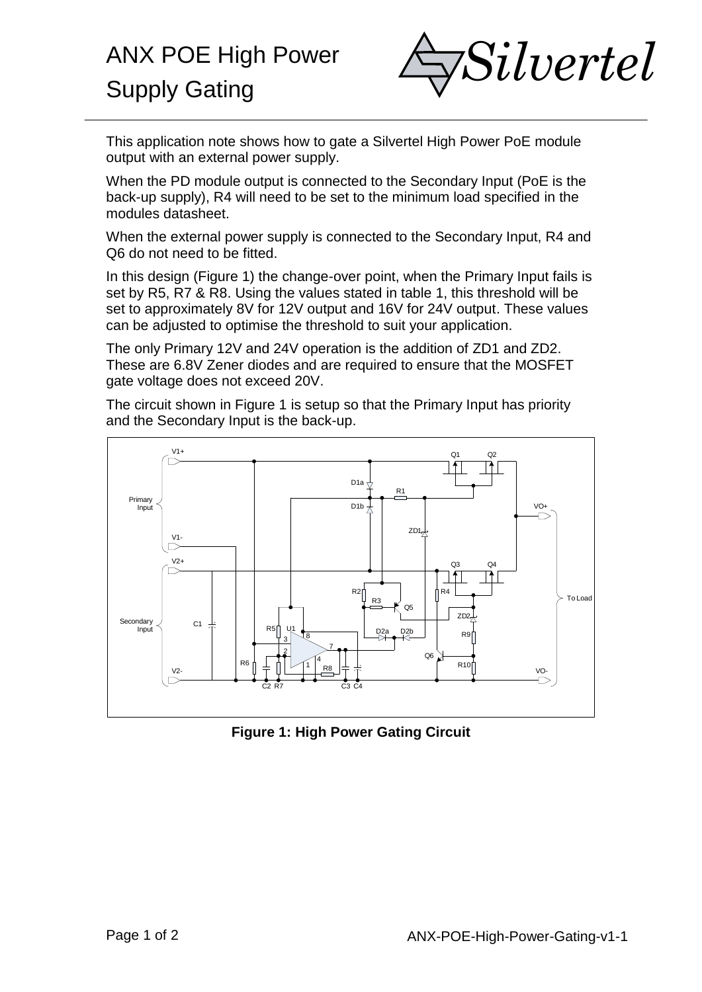

This application note shows how to gate a Silvertel High Power PoE module output with an external power supply.

When the PD module output is connected to the Secondary Input (PoE is the back-up supply), R4 will need to be set to the minimum load specified in the modules datasheet.

When the external power supply is connected to the Secondary Input, R4 and Q6 do not need to be fitted.

In this design (Figure 1) the change-over point, when the Primary Input fails is set by R5, R7 & R8. Using the values stated in table 1, this threshold will be set to approximately 8V for 12V output and 16V for 24V output. These values can be adjusted to optimise the threshold to suit your application.

The only Primary 12V and 24V operation is the addition of ZD1 and ZD2. These are 6.8V Zener diodes and are required to ensure that the MOSFET gate voltage does not exceed 20V.

The circuit shown in Figure 1 is setup so that the Primary Input has priority and the Secondary Input is the back-up.



**Figure 1: High Power Gating Circuit**